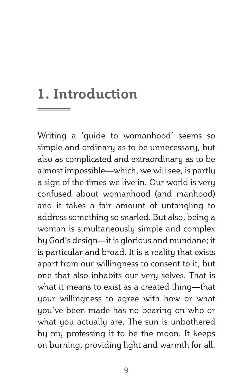# **1. Introduction**

Writing a 'guide to womanhood' seems so simple and ordinary as to be unnecessary, but also as complicated and extraordinary as to be almost impossible—which, we will see, is partly a sign of the times we live in. Our world is very confused about womanhood (and manhood) and it takes a fair amount of untangling to address something so snarled. But also, being a woman is simultaneously simple and complex by God's design—it is glorious and mundane; it is particular and broad. It is a reality that exists apart from our willingness to consent to it, but one that also inhabits our very selves. That is what it means to exist as a created thing—that your willingness to agree with how or what you've been made has no bearing on who or what you actually are. The sun is unbothered by my professing it to be the moon. It keeps on burning, providing light and warmth for all.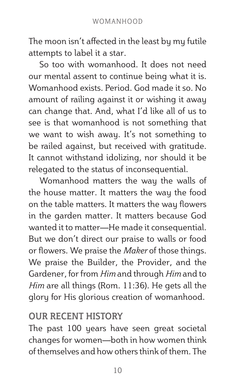The moon isn't affected in the least by my futile attempts to label it a star.

So too with womanhood. It does not need our mental assent to continue being what it is. Womanhood exists. Period. God made it so. No amount of railing against it or wishing it away can change that. And, what I'd like all of us to see is that womanhood is not something that we want to wish away. It's not something to be railed against, but received with gratitude. It cannot withstand idolizing, nor should it be relegated to the status of inconsequential.

Womanhood matters the way the walls of the house matter. It matters the way the food on the table matters. It matters the way flowers in the garden matter. It matters because God wanted it to matter—He made it consequential. But we don't direct our praise to walls or food or flowers. We praise the *Maker* of those things. We praise the Builder, the Provider, and the Gardener, for from *Him* and through *Him* and to *Him* are all things (Rom. 11:36). He gets all the glory for His glorious creation of womanhood.

## **OUR RECENT HISTORY**

The past 100 years have seen great societal changes for women—both in how women think of themselves and how others think of them. The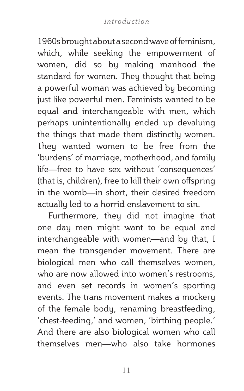#### *Introduction*

1960s brought about a second wave of feminism, which, while seeking the empowerment of women, did so by making manhood the standard for women. They thought that being a powerful woman was achieved by becoming just like powerful men. Feminists wanted to be equal and interchangeable with men, which perhaps unintentionally ended up devaluing the things that made them distinctly women. They wanted women to be free from the 'burdens' of marriage, motherhood, and family life—free to have sex without 'consequences' (that is, children), free to kill their own offspring in the womb—in short, their desired freedom actually led to a horrid enslavement to sin.

Furthermore, they did not imagine that one day men might want to be equal and interchangeable with women—and by that, I mean the transgender movement. There are biological men who call themselves women, who are now allowed into women's restrooms. and even set records in women's sporting events. The trans movement makes a mockery of the female body, renaming breastfeeding, 'chest-feeding,' and women, 'birthing people.' And there are also biological women who call themselves men—who also take hormones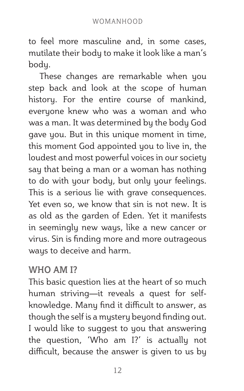to feel more masculine and, in some cases, mutilate their body to make it look like a man's body.

These changes are remarkable when you step back and look at the scope of human history. For the entire course of mankind, everyone knew who was a woman and who was a man. It was determined by the body God gave you. But in this unique moment in time, this moment God appointed you to live in, the loudest and most powerful voices in our society say that being a man or a woman has nothing to do with your body, but only your feelings. This is a serious lie with grave consequences. Yet even so, we know that sin is not new. It is as old as the garden of Eden. Yet it manifests in seemingly new ways, like a new cancer or virus. Sin is finding more and more outrageous ways to deceive and harm.

### **WHO AM I?**

This basic question lies at the heart of so much human striving—it reveals a quest for selfknowledge. Many find it difficult to answer, as though the self is a mystery beyond finding out. I would like to suggest to you that answering the question, 'Who am I?' is actually not difficult, because the answer is given to us by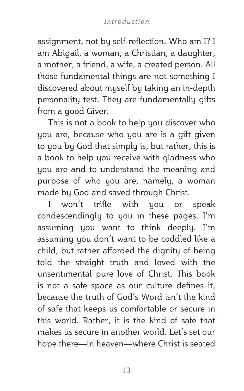#### *Introduction*

assignment, not by self-reflection. Who am I? I am Abigail, a woman, a Christian, a daughter, a mother, a friend, a wife, a created person. All those fundamental things are not something I discovered about myself by taking an in-depth personality test. They are fundamentally gifts from a good Giver.

This is not a book to help you discover who you are, because who you are is a gift given to you by God that simply is, but rather, this is a book to help you receive with gladness who you are and to understand the meaning and purpose of who you are, namely, a woman made by God and saved through Christ.

I won't trifle with you or speak condescendingly to you in these pages. I'm assuming you want to think deeply. I'm assuming you don't want to be coddled like a child, but rather afforded the dignity of being told the straight truth and loved with the unsentimental pure love of Christ. This book is not a safe space as our culture defines it, because the truth of God's Word isn't the kind of safe that keeps us comfortable or secure in this world. Rather, it is the kind of safe that makes us secure in another world. Let's set our hope there—in heaven—where Christ is seated